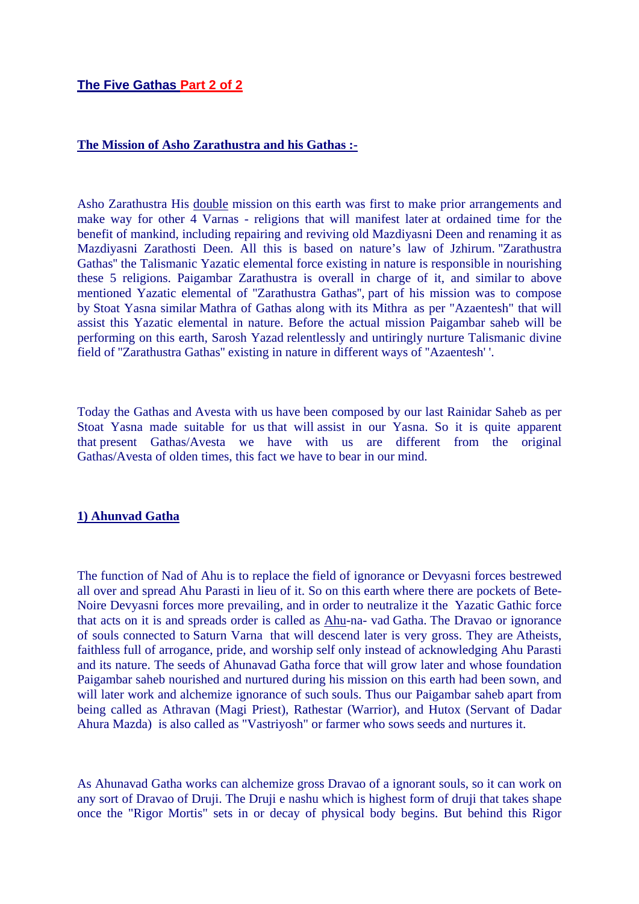# **The Five Gathas Part 2 of 2**

#### **The Mission of Asho Zarathustra and his Gathas :-**

Asho Zarathustra His double mission on this earth was first to make prior arrangements and make way for other 4 Varnas - religions that will manifest later at ordained time for the benefit of mankind, including repairing and reviving old Mazdiyasni Deen and renaming it as Mazdiyasni Zarathosti Deen. All this is based on nature's law of Jzhirum. ''Zarathustra Gathas'' the Talismanic Yazatic elemental force existing in nature is responsible in nourishing these 5 religions. Paigambar Zarathustra is overall in charge of it, and similar to above mentioned Yazatic elemental of ''Zarathustra Gathas'', part of his mission was to compose by Stoat Yasna similar Mathra of Gathas along with its Mithra as per "Azaentesh" that will assist this Yazatic elemental in nature. Before the actual mission Paigambar saheb will be performing on this earth, Sarosh Yazad relentlessly and untiringly nurture Talismanic divine field of ''Zarathustra Gathas'' existing in nature in different ways of ''Azaentesh' '.

Today the Gathas and Avesta with us have been composed by our last Rainidar Saheb as per Stoat Yasna made suitable for us that will assist in our Yasna. So it is quite apparent that present Gathas/Avesta we have with us are different from the original Gathas/Avesta of olden times, this fact we have to bear in our mind.

#### **1) Ahunvad Gatha**

The function of Nad of Ahu is to replace the field of ignorance or Devyasni forces bestrewed all over and spread Ahu Parasti in lieu of it. So on this earth where there are pockets of Bete-Noire Devyasni forces more prevailing, and in order to neutralize it the Yazatic Gathic force that acts on it is and spreads order is called as Ahu-na- vad Gatha. The Dravao or ignorance of souls connected to Saturn Varna that will descend later is very gross. They are Atheists, faithless full of arrogance, pride, and worship self only instead of acknowledging Ahu Parasti and its nature. The seeds of Ahunavad Gatha force that will grow later and whose foundation Paigambar saheb nourished and nurtured during his mission on this earth had been sown, and will later work and alchemize ignorance of such souls. Thus our Paigambar saheb apart from being called as Athravan (Magi Priest), Rathestar (Warrior), and Hutox (Servant of Dadar Ahura Mazda) is also called as "Vastriyosh" or farmer who sows seeds and nurtures it.

As Ahunavad Gatha works can alchemize gross Dravao of a ignorant souls, so it can work on any sort of Dravao of Druji. The Druji e nashu which is highest form of druji that takes shape once the "Rigor Mortis" sets in or decay of physical body begins. But behind this Rigor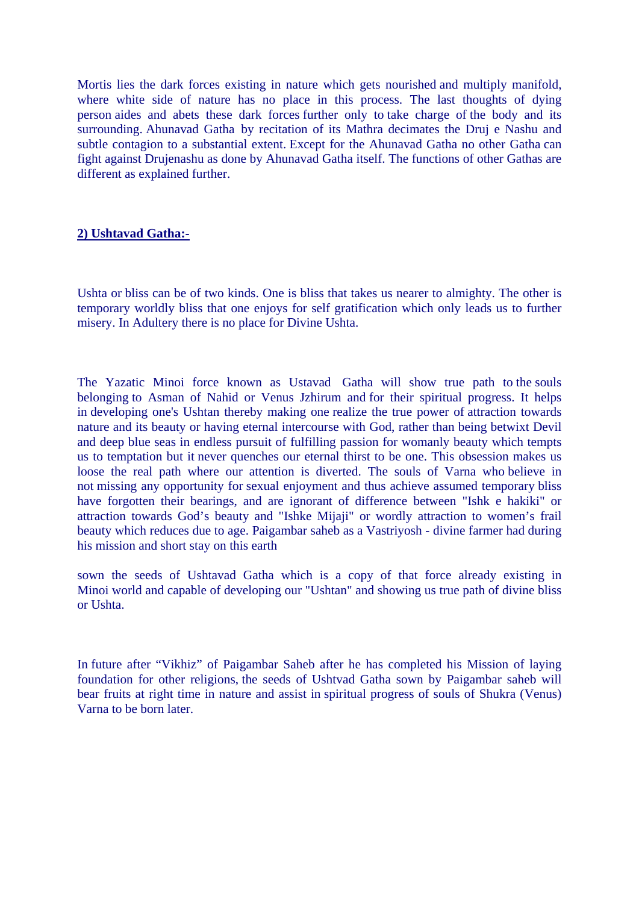Mortis lies the dark forces existing in nature which gets nourished and multiply manifold, where white side of nature has no place in this process. The last thoughts of dying person aides and abets these dark forces further only to take charge of the body and its surrounding. Ahunavad Gatha by recitation of its Mathra decimates the Druj e Nashu and subtle contagion to a substantial extent. Except for the Ahunavad Gatha no other Gatha can fight against Drujenashu as done by Ahunavad Gatha itself. The functions of other Gathas are different as explained further.

#### **2) Ushtavad Gatha:-**

Ushta or bliss can be of two kinds. One is bliss that takes us nearer to almighty. The other is temporary worldly bliss that one enjoys for self gratification which only leads us to further misery. In Adultery there is no place for Divine Ushta.

The Yazatic Minoi force known as Ustavad Gatha will show true path to the souls belonging to Asman of Nahid or Venus Jzhirum and for their spiritual progress. It helps in developing one's Ushtan thereby making one realize the true power of attraction towards nature and its beauty or having eternal intercourse with God, rather than being betwixt Devil and deep blue seas in endless pursuit of fulfilling passion for womanly beauty which tempts us to temptation but it never quenches our eternal thirst to be one. This obsession makes us loose the real path where our attention is diverted. The souls of Varna who believe in not missing any opportunity for sexual enjoyment and thus achieve assumed temporary bliss have forgotten their bearings, and are ignorant of difference between "Ishk e hakiki" or attraction towards God's beauty and "Ishke Mijaji" or wordly attraction to women's frail beauty which reduces due to age. Paigambar saheb as a Vastriyosh - divine farmer had during his mission and short stay on this earth

sown the seeds of Ushtavad Gatha which is a copy of that force already existing in Minoi world and capable of developing our "Ushtan" and showing us true path of divine bliss or Ushta.

In future after "Vikhiz" of Paigambar Saheb after he has completed his Mission of laying foundation for other religions, the seeds of Ushtvad Gatha sown by Paigambar saheb will bear fruits at right time in nature and assist in spiritual progress of souls of Shukra (Venus) Varna to be born later.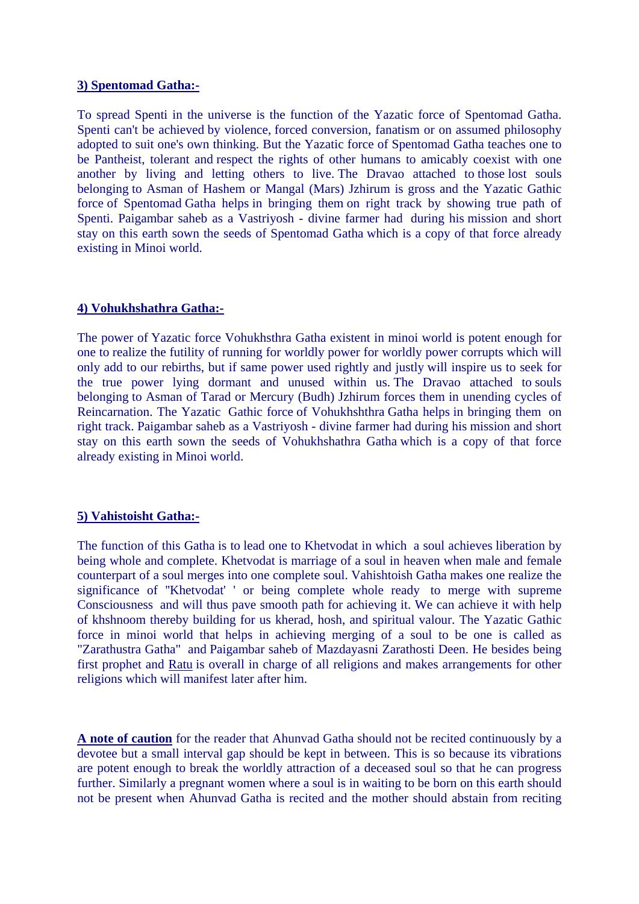#### **3) Spentomad Gatha:-**

To spread Spenti in the universe is the function of the Yazatic force of Spentomad Gatha. Spenti can't be achieved by violence, forced conversion, fanatism or on assumed philosophy adopted to suit one's own thinking. But the Yazatic force of Spentomad Gatha teaches one to be Pantheist, tolerant and respect the rights of other humans to amicably coexist with one another by living and letting others to live. The Dravao attached to those lost souls belonging to Asman of Hashem or Mangal (Mars) Jzhirum is gross and the Yazatic Gathic force of Spentomad Gatha helps in bringing them on right track by showing true path of Spenti. Paigambar saheb as a Vastriyosh - divine farmer had during his mission and short stay on this earth sown the seeds of Spentomad Gatha which is a copy of that force already existing in Minoi world.

## **4) Vohukhshathra Gatha:-**

The power of Yazatic force Vohukhsthra Gatha existent in minoi world is potent enough for one to realize the futility of running for worldly power for worldly power corrupts which will only add to our rebirths, but if same power used rightly and justly will inspire us to seek for the true power lying dormant and unused within us. The Dravao attached to souls belonging to Asman of Tarad or Mercury (Budh) Jzhirum forces them in unending cycles of Reincarnation. The Yazatic Gathic force of Vohukhshthra Gatha helps in bringing them on right track. Paigambar saheb as a Vastriyosh - divine farmer had during his mission and short stay on this earth sown the seeds of Vohukhshathra Gatha which is a copy of that force already existing in Minoi world.

## **5) Vahistoisht Gatha:-**

The function of this Gatha is to lead one to Khetvodat in which a soul achieves liberation by being whole and complete. Khetvodat is marriage of a soul in heaven when male and female counterpart of a soul merges into one complete soul. Vahishtoish Gatha makes one realize the significance of ''Khetvodat' ' or being complete whole ready to merge with supreme Consciousness and will thus pave smooth path for achieving it. We can achieve it with help of khshnoom thereby building for us kherad, hosh, and spiritual valour. The Yazatic Gathic force in minoi world that helps in achieving merging of a soul to be one is called as "Zarathustra Gatha" and Paigambar saheb of Mazdayasni Zarathosti Deen. He besides being first prophet and Ratu is overall in charge of all religions and makes arrangements for other religions which will manifest later after him.

**A note of caution** for the reader that Ahunvad Gatha should not be recited continuously by a devotee but a small interval gap should be kept in between. This is so because its vibrations are potent enough to break the worldly attraction of a deceased soul so that he can progress further. Similarly a pregnant women where a soul is in waiting to be born on this earth should not be present when Ahunvad Gatha is recited and the mother should abstain from reciting